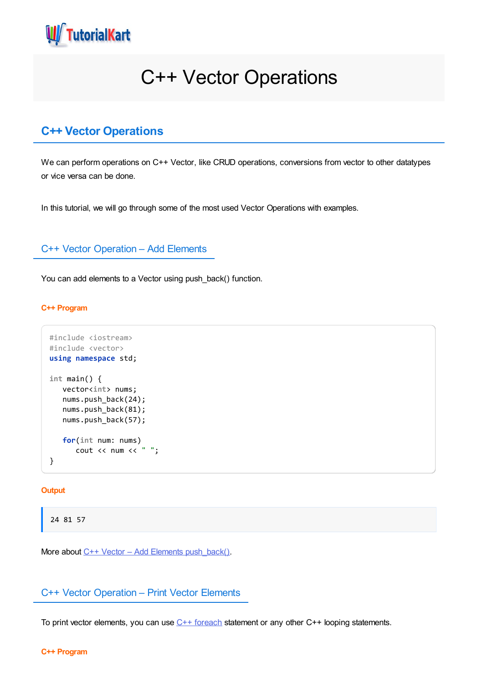

# C++ Vector Operations

## **C++ Vector Operations**

We can perform operations on C++ Vector, like CRUD operations, conversions from vector to other datatypes or vice versa can be done.

In this tutorial, we will go through some of the most used Vector Operations with examples.

## C++ Vector Operation – Add Elements

You can add elements to a Vector using push\_back() function.

## **C++ Program**

```
#include <iostream>
#include <vector>
using namespace std;
int main() {
   vector<int> nums;
   nums.push_back(24);
   nums.push back(81);
   nums.push_back(57);
   for(int num: nums)
      cout << num << " ";
}
```
#### **Output**

24 81 57

More about  $C++$  Vector – Add Elements [push\\_back\(\).](https://www.tutorialkart.com/cpp/cpp-vector-pop_back/)

## C++ Vector Operation – Print Vector Elements

To print vector elements, you can use  $C++$  [foreach](https://www.tutorialkart.com/cpp/cpp-foreach/) statement or any other  $C++$  looping statements.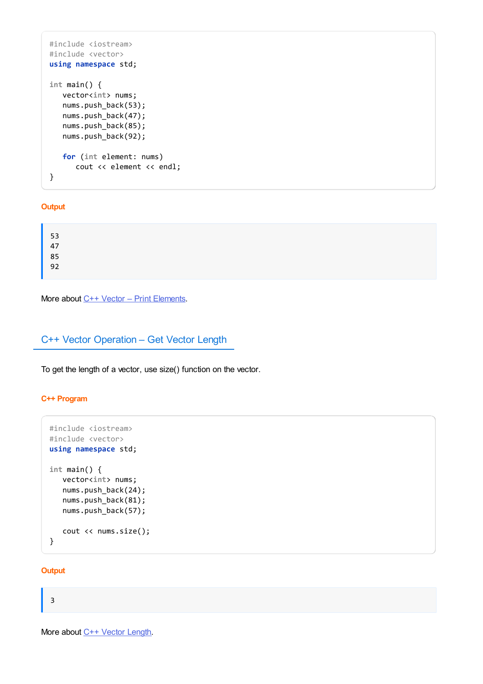```
#include <iostream>
#include <vector>
using namespace std;
int main() {
  vector<int> nums;
  nums.push_back(53);
  nums.push_back(47);
  nums.push_back(85);
  nums.push_back(92);
  for (int element: nums)
      cout << element << endl;
}
```
## **Output**

More about C++ Vector – Print [Elements](https://www.tutorialkart.com/cpp/cpp-print-vector/).

## C++ Vector Operation – Get Vector Length

To get the length of a vector, use size() function on the vector.

## **C++ Program**

```
#include <iostream>
#include <vector>
using namespace std;
int main() {
   vector<int> nums;
   nums.push_back(24);
   nums.push_back(81);
   nums.push_back(57);
   cout << nums.size();
}
```
#### **Output**

## 3

More about C++ Vector [Length](https://www.tutorialkart.com/cpp/cpp-vector-size/).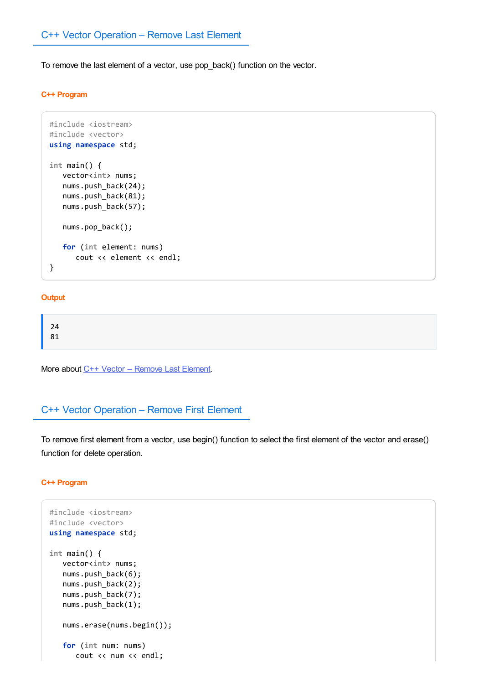To remove the last element of a vector, use pop\_back() function on the vector.

#### **C++ Program**

```
#include <iostream>
#include <vector>
using namespace std;
int main() {
   vector<int> nums;
   nums.push_back(24);
   nums.push_back(81);
   nums.push_back(57);
   nums.pop_back();
   for (int element: nums)
      cout << element << endl;
}
```
## **Output**

| 24 |  |  |  |
|----|--|--|--|
|    |  |  |  |
| 81 |  |  |  |
|    |  |  |  |
|    |  |  |  |

More about C++ Vector – [Remove](https://www.tutorialkart.com/cpp/cpp-vector-pop_back/) Last Element.

## C++ Vector Operation – Remove First Element

To remove first element from a vector, use begin() function to select the first element of the vector and erase() function for delete operation.

#### **C++ Program**

```
#include <iostream>
#include <vector>
using namespace std;
int main() {
  vector<int> nums;
  nums.push back(6);
  nums.push_back(2);
  nums.push back(7);
  nums.push_back(1);
  nums.erase(nums.begin());
   for (int num: nums)
      cout << num << endl;
```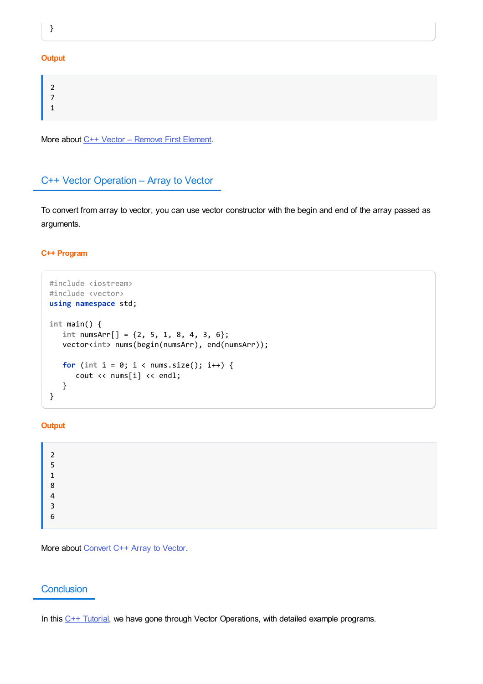}

#### **Output**

More about C++ Vector - [Remove](https://www.tutorialkart.com/cpp/cpp-vector-remove-first-element/) First Element.

## C++ Vector Operation – Array to Vector

To convert from array to vector, you can use vector constructor with the begin and end of the array passed as arguments.

## **C++ Program**

```
#include <iostream>
#include <vector>
using namespace std;
int main() {
  int numsArr[] = {2, 5, 1, 8, 4, 3, 6};
  vector<int> nums(begin(numsArr), end(numsArr));
  for (int i = 0; i < nums.size(); i++) {
      cout << nums[i] << endl;
   }
}
```
## **Output**

| 2 |  |
|---|--|
| 5 |  |
| 1 |  |
| 8 |  |
| 4 |  |
| 3 |  |
| 6 |  |

More about [Convert](https://www.tutorialkart.com/cpp/cpp-convert-array-to-vector/) C++ Array to Vector.

## **Conclusion**

In this  $C++$  [Tutorial](https://www.tutorialkart.com/cpp/), we have gone through Vector Operations, with detailed example programs.